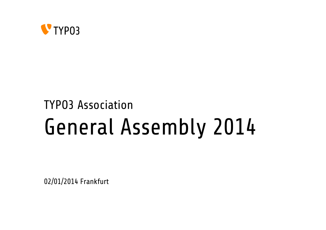

## TYPO3 Association General Assembly 2014

02/01/2014 Frankfurt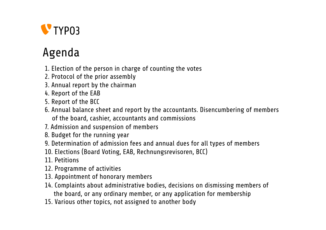

## Agenda

- 1. Election of the person in charge of counting the votes
- 2. Protocol of the prior assembly
- 3. Annual report by the chairman
- 4. Report of the EAB
- 5. Report of the BCC
- 6. Annual balance sheet and report by the accountants. Disencumbering of members of the board, cashier, accountants and commissions
- 7. Admission and suspension of members
- 8. Budget for the running year
- 9. Determination of admission fees and annual dues for all types of members
- 10. Elections (Board Voting, EAB, Rechnungsrevisoren, BCC)
- 11. Petitions
- 12. Programme of activities
- 13. Appointment of honorary members
- 14. Complaints about administrative bodies, decisions on dismissing members of the board, or any ordinary member, or any application for membership
- 15. Various other topics, not assigned to another body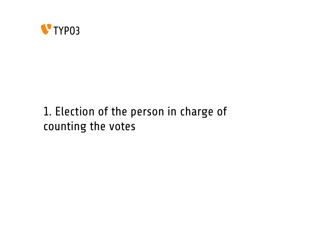

## 1. Election of the person in charge of counting the votes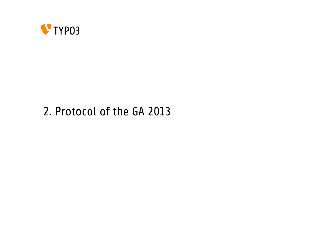

### 2. Protocol of the GA 2013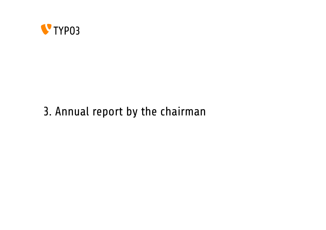

## 3. Annual report by the chairman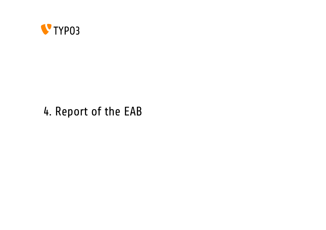

### 4. Report of the EAB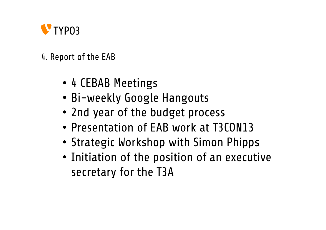

### 4. Report of the EAB

- 4 CEBAB Meetings
- Bi-weekly Google Hangouts
- 2nd year of the budget process
- Presentation of EAB work at T3CON13
- Strategic Workshop with Simon Phipps
- Initiation of the position of an executive secretary for the T3A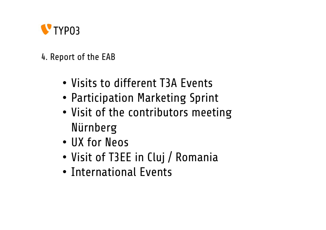

### 4. Report of the EAB

- Visits to different T3A Events
- Participation Marketing Sprint
- Visit of the contributors meeting Nürnberg
- UX for Neos
- Visit of T3EE in Cluj / Romania
- International Events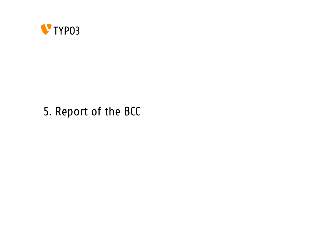

## 5. Report of the BCC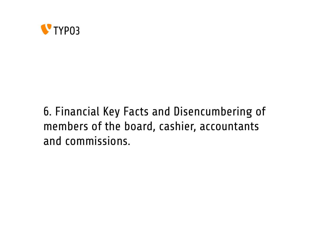

## 6. Financial Key Facts and Disencumbering of members of the board, cashier, accountants and commissions.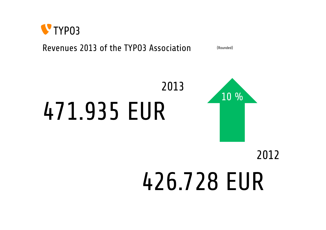

### Revenues 2013 of the TYP03 Association (Rounded)

## 471.935 EUR 2013 10 %

## 426.728 EUR 2012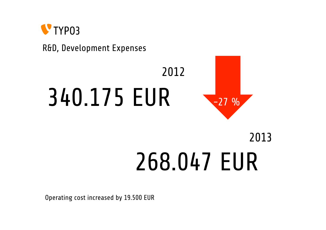

R&D, Development Expenses

# 340.175 EUR



## 268.047 EUR 2013

2012

Operating cost increased by 19.500 EUR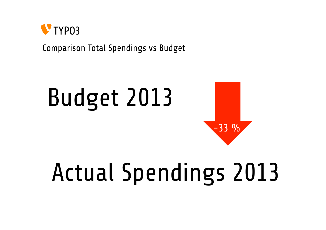

Comparison Total Spendings vs Budget

# Budget 2013 -33 %

## Actual Spendings 2013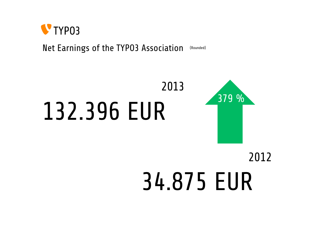

Net Earnings of the TYPO3 Association (Rounded)

## 132.396 EUR 2013 379 %

## 34.875 EUR 2012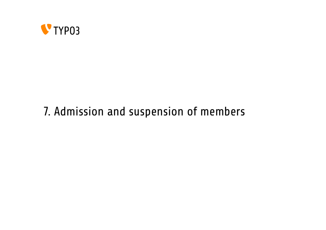

## 7. Admission and suspension of members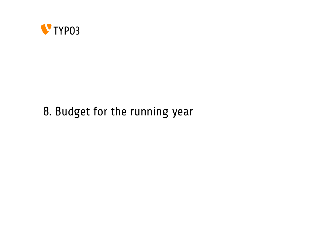

## 8. Budget for the running year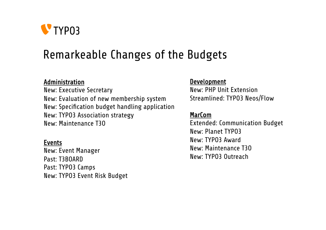

### Remarkeable Changes of the Budgets

#### Administration

New: Executive Secretary New: Evaluation of new membership system New: Specification budget handling application New: TYPO3 Association strategy New: Maintenance T3O

#### Events

New: Event Manager Past: T3BOARD Past: TYPO3 Camps New: TYPO3 Event Risk Budget

#### Development

New: PHP Unit Extension Streamlined: TYPO3 Neos/Flow

#### MarCom

Extended: Communication Budget New: Planet TYPO3 New: TYPO3 Award New: Maintenance T3O New: TYPO3 Outreach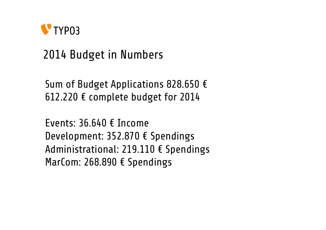

## 2014 Budget in Numbers

Sum of Budget Applications 828.650 € 612.220  $\epsilon$  complete budget for 2014

Events: 36.640 € Income Development: 352.870 € Spendings Administrational: 219.110 € Spendings MarCom: 268.890 € Spendings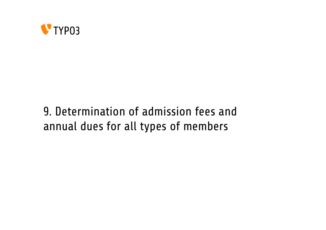

## 9. Determination of admission fees and annual dues for all types of members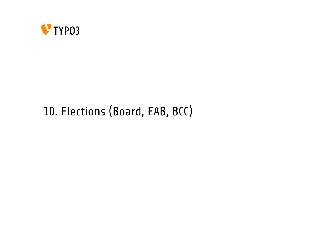

## 10. Elections (Board, EAB, BCC)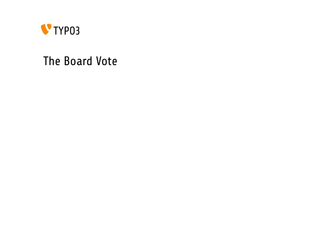

### The Board Vote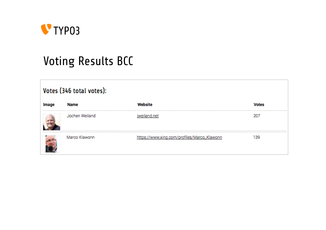

## Voting Results BCC

| Votes (346 total votes): |                |                                             |              |  |
|--------------------------|----------------|---------------------------------------------|--------------|--|
| Image                    | Name           | Website                                     | <b>Votes</b> |  |
|                          | Jochen Weiland | and net                                     |              |  |
|                          | Marco Klawonn  | https://www.xing.com/profiles/Marco_Klawonn | 39           |  |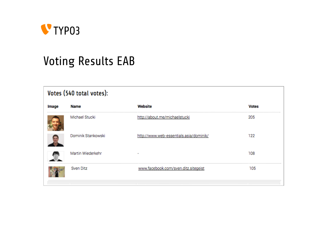

## Voting Results EAB

| Votes (540 total votes): |                    |                                         |              |  |
|--------------------------|--------------------|-----------------------------------------|--------------|--|
| Image                    | Name               | Website                                 | <b>Votes</b> |  |
|                          | Michael Stucki     | http://about.me/michaelstucki           | 205          |  |
|                          | Dominik Stankowski | http://www.web-essentials.asia/dominik/ | 122          |  |
|                          | Martin Wiederkehr  |                                         | 108          |  |
|                          | Sven Ditz          | www.facebook.com/sven.ditz.sitegeist    | 105          |  |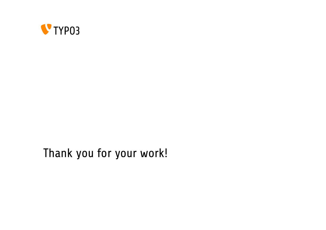

### Thank you for your work!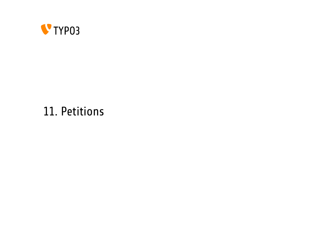

### 11. Petitions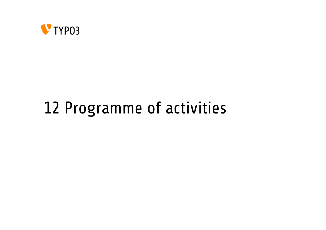

## 12 Programme of activities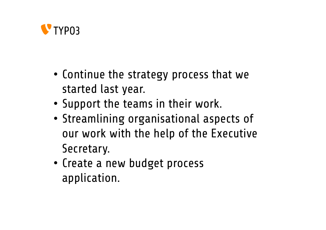

- Continue the strategy process that we started last year.
- Support the teams in their work.
- Streamlining organisational aspects of our work with the help of the Executive Secretary.
- Create a new budget process application.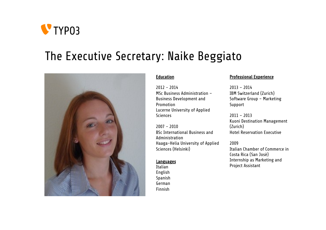

### The Executive Secretary: Naike Beggiato



#### **Education**

2012 - 2014 MSc Business Administration – Business Development and Promotion Lucerne University of Applied **Sciences** 

2007 - 2010 BSc International Business and Administration Haaga-Helia University of Applied Sciences (Helsinki)

#### Languages

Italian English Spanish German Finnish

#### Professional Experience

2013 – 2014 IBM Switzerland (Zurich) Software Group – Marketing Support

2011 – 2013 Kuoni Destination Management (Zurich) Hotel Reservation Executive

#### 2009

Italian Chamber of Commerce in Costa Rica (San Josè) Internship as Marketing and Project Assistant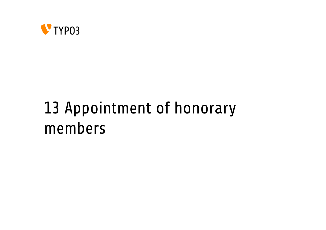

## 13 Appointment of honorary members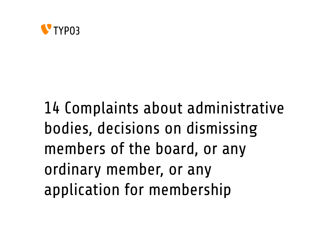

14 Complaints about administrative bodies, decisions on dismissing members of the board, or any ordinary member, or any application for membership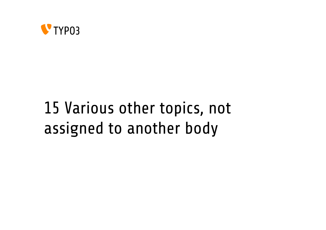

## 15 Various other topics, not assigned to another body